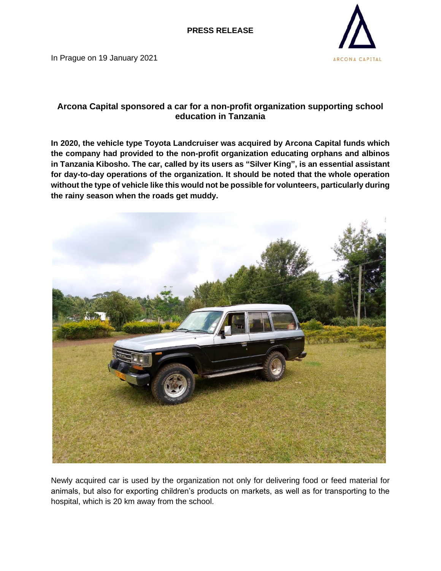In Prague on 19 January 2021



## **Arcona Capital sponsored a car for a non-profit organization supporting school education in Tanzania**

**In 2020, the vehicle type Toyota Landcruiser was acquired by Arcona Capital funds which the company had provided to the non-profit organization educating orphans and albinos in Tanzania Kibosho. The car, called by its users as "Silver King", is an essential assistant for day-to-day operations of the organization. It should be noted that the whole operation without the type of vehicle like this would not be possible for volunteers, particularly during the rainy season when the roads get muddy.**



Newly acquired car is used by the organization not only for delivering food or feed material for animals, but also for exporting children's products on markets, as well as for transporting to the hospital, which is 20 km away from the school.